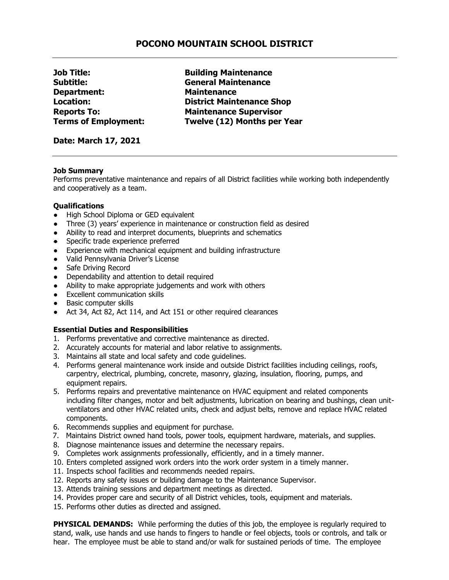## **POCONO MOUNTAIN SCHOOL DISTRICT**

**Subtitle: General Maintenance Department: Maintenance**

**Job Title: Building Maintenance Location: District Maintenance Shop Reports To: Maintenance Supervisor Terms of Employment: Twelve (12) Months per Year**

**Date: March 17, 2021**

## **Job Summary**

Performs preventative maintenance and repairs of all District facilities while working both independently and cooperatively as a team.

## **Qualifications**

- **High School Diploma or GED equivalent**
- Three (3) years' experience in maintenance or construction field as desired
- Ability to read and interpret documents, blueprints and schematics
- Specific trade experience preferred
- Experience with mechanical equipment and building infrastructure
- Valid Pennsylvania Driver's License
- Safe Driving Record
- Dependability and attention to detail required
- Ability to make appropriate judgements and work with others
- Excellent communication skills
- Basic computer skills
- Act 34, Act 82, Act 114, and Act 151 or other required clearances

## **Essential Duties and Responsibilities**

- 1. Performs preventative and corrective maintenance as directed.
- 2. Accurately accounts for material and labor relative to assignments.
- 3. Maintains all state and local safety and code guidelines.
- 4. Performs general maintenance work inside and outside District facilities including ceilings, roofs, carpentry, electrical, plumbing, concrete, masonry, glazing, insulation, flooring, pumps, and equipment repairs.
- 5. Performs repairs and preventative maintenance on HVAC equipment and related components including filter changes, motor and belt adjustments, lubrication on bearing and bushings, clean unitventilators and other HVAC related units, check and adjust belts, remove and replace HVAC related components.
- 6. Recommends supplies and equipment for purchase.
- 7. Maintains District owned hand tools, power tools, equipment hardware, materials, and supplies.
- 8. Diagnose maintenance issues and determine the necessary repairs.
- 9. Completes work assignments professionally, efficiently, and in a timely manner.
- 10. Enters completed assigned work orders into the work order system in a timely manner.
- 11. Inspects school facilities and recommends needed repairs.
- 12. Reports any safety issues or building damage to the Maintenance Supervisor.
- 13. Attends training sessions and department meetings as directed.
- 14. Provides proper care and security of all District vehicles, tools, equipment and materials.
- 15. Performs other duties as directed and assigned.

**PHYSICAL DEMANDS:** While performing the duties of this job, the employee is regularly required to stand, walk, use hands and use hands to fingers to handle or feel objects, tools or controls, and talk or hear. The employee must be able to stand and/or walk for sustained periods of time. The employee